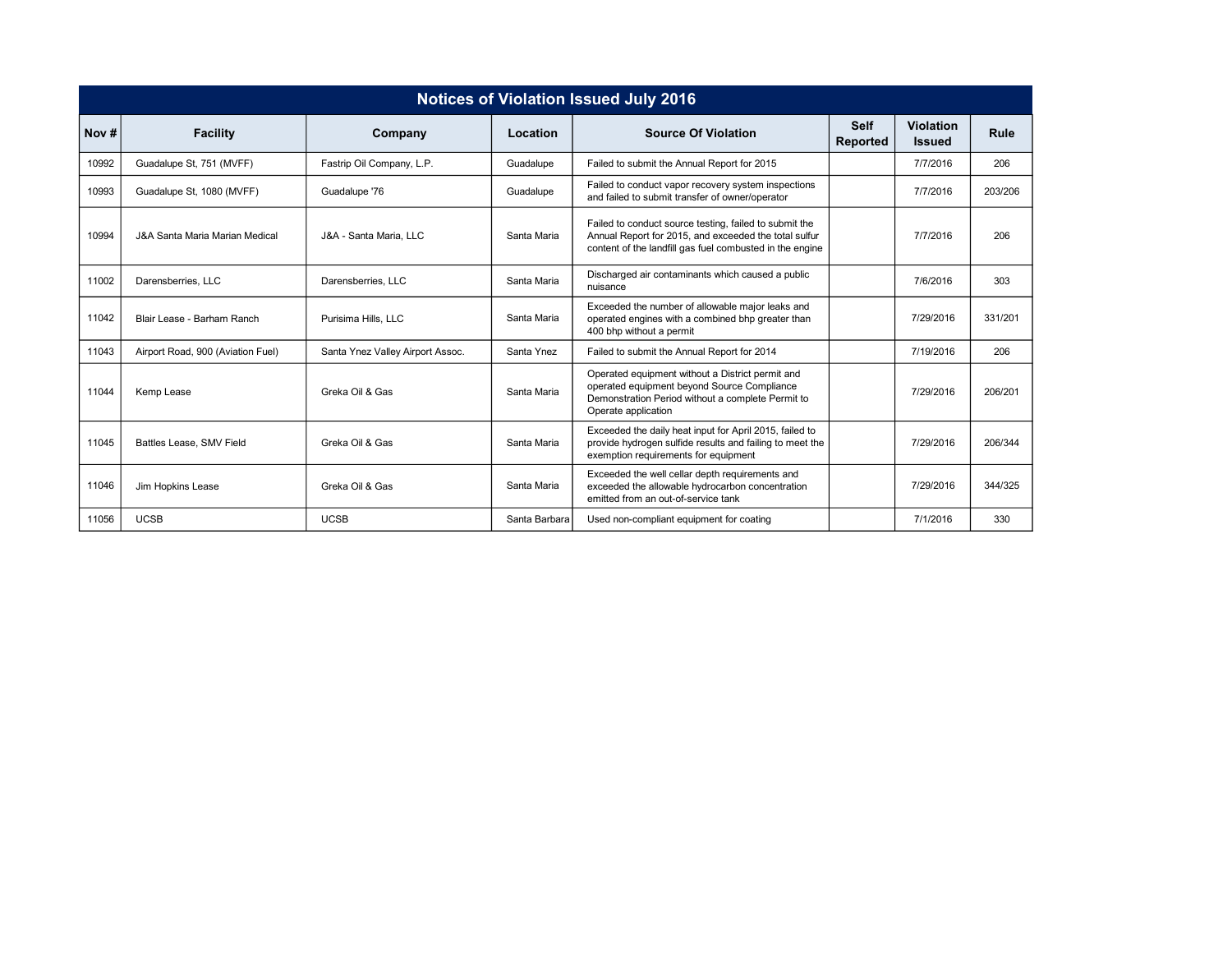| <b>Notices of Violation Issued July 2016</b> |                                   |                                  |               |                                                                                                                                                                             |                         |                                   |         |  |  |  |  |  |  |
|----------------------------------------------|-----------------------------------|----------------------------------|---------------|-----------------------------------------------------------------------------------------------------------------------------------------------------------------------------|-------------------------|-----------------------------------|---------|--|--|--|--|--|--|
| Nov#                                         | <b>Facility</b>                   | Company                          | Location      | <b>Source Of Violation</b>                                                                                                                                                  | <b>Self</b><br>Reported | <b>Violation</b><br><b>Issued</b> | Rule    |  |  |  |  |  |  |
| 10992                                        | Guadalupe St, 751 (MVFF)          | Fastrip Oil Company, L.P.        | Guadalupe     | Failed to submit the Annual Report for 2015                                                                                                                                 |                         | 7/7/2016                          | 206     |  |  |  |  |  |  |
| 10993                                        | Guadalupe St, 1080 (MVFF)         | Guadalupe '76                    | Guadalupe     | Failed to conduct vapor recovery system inspections<br>and failed to submit transfer of owner/operator                                                                      |                         | 7/7/2016                          | 203/206 |  |  |  |  |  |  |
| 10994                                        | J&A Santa Maria Marian Medical    | J&A - Santa Maria, LLC           | Santa Maria   | Failed to conduct source testing, failed to submit the<br>Annual Report for 2015, and exceeded the total sulfur<br>content of the landfill gas fuel combusted in the engine |                         | 7/7/2016                          | 206     |  |  |  |  |  |  |
| 11002                                        | Darensberries, LLC                | Darensberries, LLC               | Santa Maria   | Discharged air contaminants which caused a public<br>nuisance                                                                                                               |                         | 7/6/2016                          | 303     |  |  |  |  |  |  |
| 11042                                        | Blair Lease - Barham Ranch        | Purisima Hills, LLC              | Santa Maria   | Exceeded the number of allowable major leaks and<br>operated engines with a combined bhp greater than<br>400 bhp without a permit                                           |                         | 7/29/2016                         | 331/201 |  |  |  |  |  |  |
| 11043                                        | Airport Road, 900 (Aviation Fuel) | Santa Ynez Valley Airport Assoc. | Santa Ynez    | Failed to submit the Annual Report for 2014                                                                                                                                 |                         | 7/19/2016                         | 206     |  |  |  |  |  |  |
| 11044                                        | Kemp Lease                        | Greka Oil & Gas                  | Santa Maria   | Operated equipment without a District permit and<br>operated equipment beyond Source Compliance<br>Demonstration Period without a complete Permit to<br>Operate application |                         | 7/29/2016                         | 206/201 |  |  |  |  |  |  |
| 11045                                        | Battles Lease, SMV Field          | Greka Oil & Gas                  | Santa Maria   | Exceeded the daily heat input for April 2015, failed to<br>provide hydrogen sulfide results and failing to meet the<br>exemption requirements for equipment                 |                         | 7/29/2016                         | 206/344 |  |  |  |  |  |  |
| 11046                                        | Jim Hopkins Lease                 | Greka Oil & Gas                  | Santa Maria   | Exceeded the well cellar depth requirements and<br>exceeded the allowable hydrocarbon concentration<br>emitted from an out-of-service tank                                  |                         | 7/29/2016                         | 344/325 |  |  |  |  |  |  |
| 11056                                        | <b>UCSB</b>                       | <b>UCSB</b>                      | Santa Barbara | Used non-compliant equipment for coating                                                                                                                                    |                         | 7/1/2016                          | 330     |  |  |  |  |  |  |